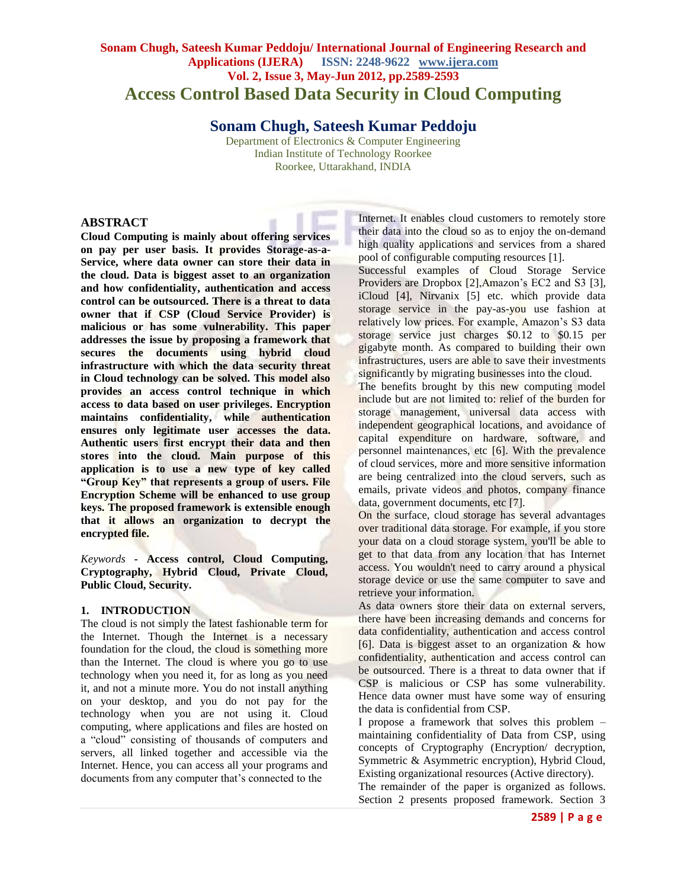# **Sonam Chugh, Sateesh Kumar Peddoju/ International Journal of Engineering Research and Applications (IJERA) ISSN: 2248-9622 www.ijera.com Vol. 2, Issue 3, May-Jun 2012, pp.2589-2593 Access Control Based Data Security in Cloud Computing**

**Sonam Chugh, Sateesh Kumar Peddoju**

Department of Electronics & Computer Engineering Indian Institute of Technology Roorkee Roorkee, Uttarakhand, INDIA

### **ABSTRACT**

**Cloud Computing is mainly about offering services on pay per user basis. It provides Storage-as-a-Service, where data owner can store their data in the cloud. Data is biggest asset to an organization and how confidentiality, authentication and access control can be outsourced. There is a threat to data owner that if CSP (Cloud Service Provider) is malicious or has some vulnerability. This paper addresses the issue by proposing a framework that secures the documents using hybrid cloud infrastructure with which the data security threat in Cloud technology can be solved. This model also provides an access control technique in which access to data based on user privileges. Encryption maintains confidentiality, while authentication ensures only legitimate user accesses the data. Authentic users first encrypt their data and then stores into the cloud. Main purpose of this application is to use a new type of key called "Group Key" that represents a group of users. File Encryption Scheme will be enhanced to use group keys. The proposed framework is extensible enough that it allows an organization to decrypt the encrypted file.**

*Keywords* **- Access control, Cloud Computing, Cryptography, Hybrid Cloud, Private Cloud, Public Cloud, Security.**

#### **1. INTRODUCTION**

The cloud is not simply the latest fashionable term for the Internet. Though the Internet is a necessary foundation for the cloud, the cloud is something more than the Internet. The cloud is where you go to use technology when you need it, for as long as you need it, and not a minute more. You do not install anything on your desktop, and you do not pay for the technology when you are not using it. Cloud computing, where applications and files are hosted on a "cloud" consisting of thousands of computers and servers, all linked together and accessible via the Internet. Hence, you can access all your programs and documents from any computer that's connected to the

Internet. It enables cloud customers to remotely store their data into the cloud so as to enjoy the on-demand high quality applications and services from a shared pool of configurable computing resources [1].

Successful examples of Cloud Storage Service Providers are Dropbox [\[2\]](#page-4-0),Amazon's EC2 and S3 [\[3\]](#page-4-1), iCloud [\[4\]](#page-4-2), Nirvanix [\[5\]](#page-4-3) etc. which provide data storage service in the pay-as-you use fashion at relatively low prices. For example, Amazon's S3 data storage service just charges \$0*.*12 to \$0*.*15 per gigabyte month. As compared to building their own infrastructures, users are able to save their investments significantly by migrating businesses into the cloud.

The benefits brought by this new computing model include but are not limited to: relief of the burden for storage management, universal data access with independent geographical locations, and avoidance of capital expenditure on hardware, software, and personnel maintenances, etc [\[6\]](#page-4-4). With the prevalence of cloud services, more and more sensitive information are being centralized into the cloud servers, such as emails, private videos and photos, company finance data, government documents, etc [7].

On the surface, cloud storage has several advantages over traditional data storage. For example, if you store your data on a cloud storage system, you'll be able to get to that data from any location that has Internet access. You wouldn't need to carry around a physical storage device or use the same computer to save and retrieve your information.

As data owners store their data on external servers, there have been increasing demands and concerns for data confidentiality, authentication and access control [6]. Data is biggest asset to an organization & how confidentiality, authentication and access control can be outsourced. There is a threat to data owner that if CSP is malicious or CSP has some vulnerability. Hence data owner must have some way of ensuring the data is confidential from CSP.

I propose a framework that solves this problem – maintaining confidentiality of Data from CSP, using concepts of Cryptography (Encryption/ decryption, Symmetric & Asymmetric encryption), Hybrid Cloud, Existing organizational resources (Active directory).

The remainder of the paper is organized as follows. Section 2 presents proposed framework. Section 3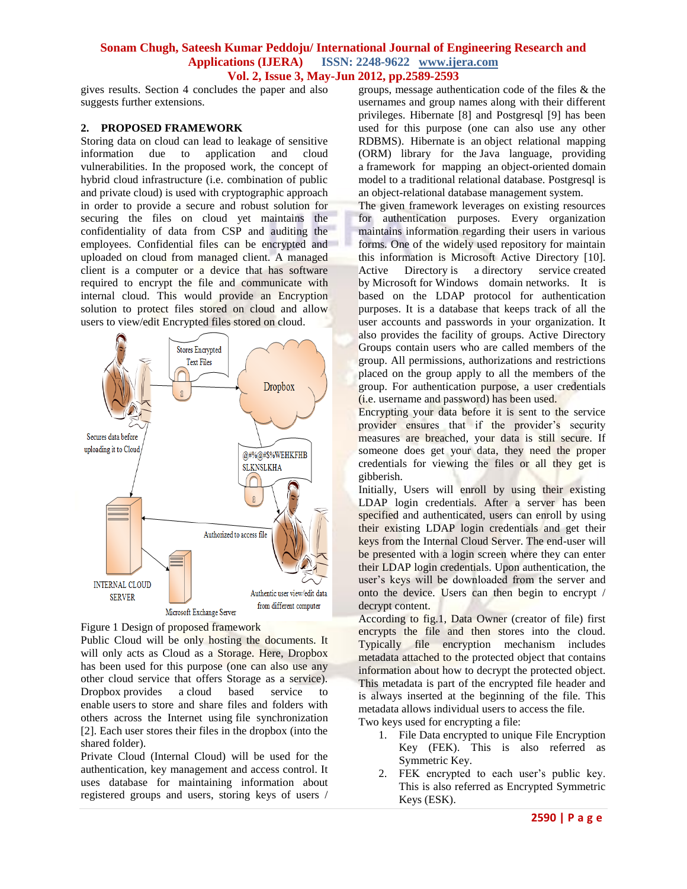#### **Sonam Chugh, Sateesh Kumar Peddoju/ International Journal of Engineering Research and Applications (IJERA) ISSN: 2248-9622 www.ijera.com Vol. 2, Issue 3, May-Jun 2012, pp.2589-2593**

gives results. Section 4 concludes the paper and also suggests further extensions.

#### **2. PROPOSED FRAMEWORK**

Storing data on cloud can lead to leakage of sensitive information due to application and cloud vulnerabilities. In the proposed work, the concept of hybrid cloud infrastructure (i.e. combination of public and private cloud) is used with cryptographic approach in order to provide a secure and robust solution for securing the files on cloud yet maintains the confidentiality of data from CSP and auditing the employees. Confidential files can be encrypted and uploaded on cloud from managed client. A managed client is a computer or a device that has software required to encrypt the file and communicate with internal cloud. This would provide an Encryption solution to protect files stored on cloud and allow users to view/edit Encrypted files stored on cloud.



Figure 1 Design of proposed framework

Public Cloud will be only hosting the documents. It will only acts as Cloud as a Storage. Here, Dropbox has been used for this purpose (one can also use any other cloud service that offers Storage as a service). Dropbox provides a cloud based service to enable users to store and share files and folders with others across the Internet using file synchronization [2]. Each user stores their files in the dropbox (into the shared folder).

Private Cloud (Internal Cloud) will be used for the authentication, key management and access control. It uses database for maintaining information about registered groups and users, storing keys of users /

groups, message authentication code of the files & the usernames and group names along with their different privileges. Hibernate [8] and Postgresql [9] has been used for this purpose (one can also use any other RDBMS). Hibernate is an object relational mapping (ORM) library for the Java language, providing a framework for mapping an object-oriented domain model to a traditional relational database. Postgresql is an object-relational database management system.

The given framework leverages on existing resources for authentication purposes. Every organization maintains information regarding their users in various forms. One of the widely used repository for maintain this information is Microsoft Active Directory [10]. Active Directory is a directory service created by Microsoft for Windows domain networks. It is based on the LDAP protocol for authentication purposes. It is a database that keeps track of all the user accounts and passwords in your organization. It also provides the facility of groups. Active Directory Groups contain users who are called members of the group. All permissions, authorizations and restrictions placed on the group apply to all the members of the group. For authentication purpose, a user credentials (i.e. username and password) has been used.

Encrypting your data before it is sent to the service provider ensures that if the provider's security measures are breached, your data is still secure. If someone does get your data, they need the proper credentials for viewing the files or all they get is gibberish.

Initially, Users will enroll by using their existing LDAP login credentials. After a server has been specified and authenticated, users can enroll by using their existing LDAP login credentials and get their keys from the Internal Cloud Server. The end-user will be presented with a login screen where they can enter their LDAP login credentials. Upon authentication, the user's keys will be downloaded from the server and onto the device. Users can then begin to encrypt / decrypt content.

According to fig.1, Data Owner (creator of file) first encrypts the file and then stores into the cloud. Typically file encryption mechanism includes metadata attached to the protected object that contains information about how to decrypt the protected object. This metadata is part of the encrypted file header and is always inserted at the beginning of the file. This metadata allows individual users to access the file.

Two keys used for encrypting a file:

- 1. File Data encrypted to unique File Encryption Key (FEK). This is also referred as Symmetric Key.
- 2. FEK encrypted to each user's public key. This is also referred as Encrypted Symmetric Keys (ESK).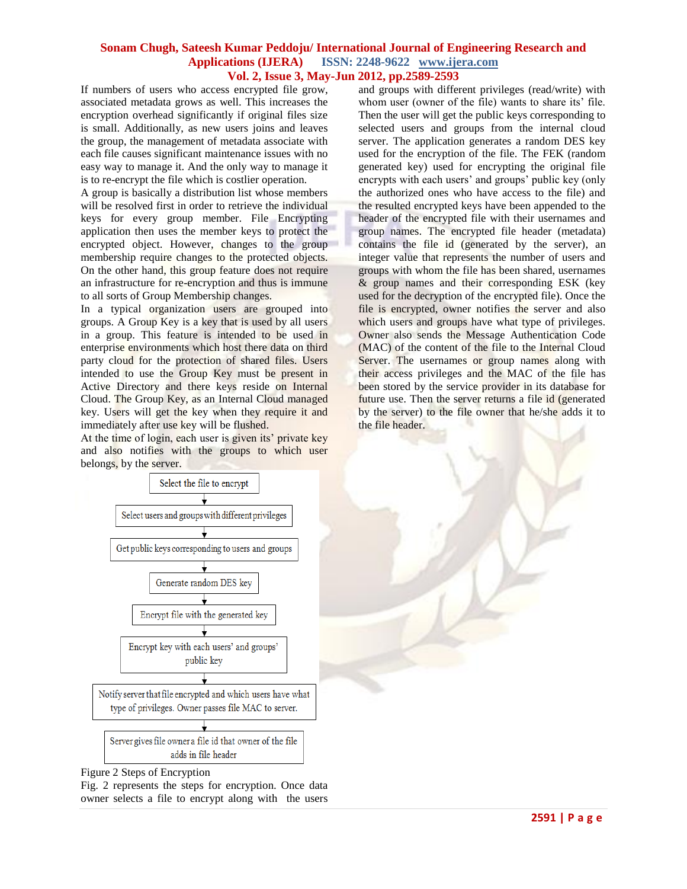#### **Sonam Chugh, Sateesh Kumar Peddoju/ International Journal of Engineering Research and Applications (IJERA) ISSN: 2248-9622 www.ijera.com Vol. 2, Issue 3, May-Jun 2012, pp.2589-2593**

If numbers of users who access encrypted file grow, associated metadata grows as well. This increases the encryption overhead significantly if original files size is small. Additionally, as new users joins and leaves the group, the management of metadata associate with each file causes significant maintenance issues with no easy way to manage it. And the only way to manage it is to re-encrypt the file which is costlier operation.

A group is basically a distribution list whose members will be resolved first in order to retrieve the individual keys for every group member. File Encrypting application then uses the member keys to protect the encrypted object. However, changes to the group membership require changes to the protected objects. On the other hand, this group feature does not require an infrastructure for re-encryption and thus is immune to all sorts of Group Membership changes.

In a typical organization users are grouped into groups. A Group Key is a key that is used by all users in a group. This feature is intended to be used in enterprise environments which host there data on third party cloud for the protection of shared files. Users intended to use the Group Key must be present in Active Directory and there keys reside on Internal Cloud. The Group Key, as an Internal Cloud managed key. Users will get the key when they require it and immediately after use key will be flushed.

At the time of login, each user is given its' private key and also notifies with the groups to which user belongs, by the server.

and groups with different privileges (read/write) with whom user (owner of the file) wants to share its' file. Then the user will get the public keys corresponding to selected users and groups from the internal cloud server. The application generates a random DES key used for the encryption of the file. The FEK (random generated key) used for encrypting the original file encrypts with each users' and groups' public key (only the authorized ones who have access to the file) and the resulted encrypted keys have been appended to the header of the encrypted file with their usernames and group names. The encrypted file header (metadata) contains the file id (generated by the server), an integer value that represents the number of users and groups with whom the file has been shared, usernames & group names and their corresponding ESK (key used for the decryption of the encrypted file). Once the file is encrypted, owner notifies the server and also which users and groups have what type of privileges. Owner also sends the Message Authentication Code (MAC) of the content of the file to the Internal Cloud Server. The usernames or group names along with their access privileges and the MAC of the file has been stored by the service provider in its database for future use. Then the server returns a file id (generated by the server) to the file owner that he/she adds it to the file header.





Fig. 2 represents the steps for encryption. Once data owner selects a file to encrypt along with the users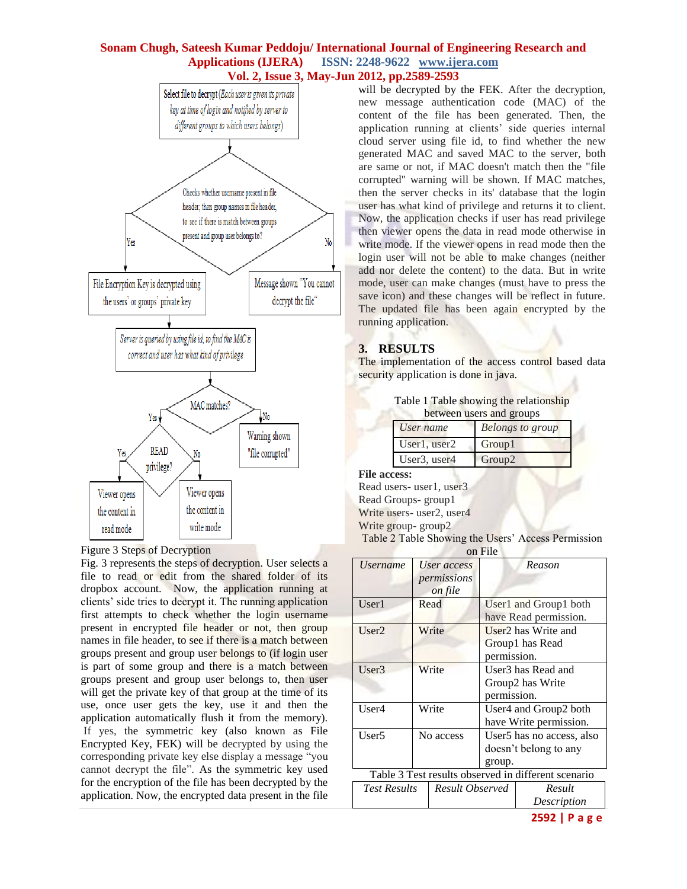#### **Sonam Chugh, Sateesh Kumar Peddoju/ International Journal of Engineering Research and Applications (IJERA) ISSN: 2248-9622 www.ijera.com Vol. 2, Issue 3, May-Jun 2012, pp.2589-2593**



Figure 3 Steps of Decryption

Fig. 3 represents the steps of decryption. User selects a file to read or edit from the shared folder of its dropbox account. Now, the application running at clients' side tries to decrypt it. The running application first attempts to check whether the login username present in encrypted file header or not, then group names in file header, to see if there is a match between groups present and group user belongs to (if login user is part of some group and there is a match between groups present and group user belongs to, then user will get the private key of that group at the time of its use, once user gets the key, use it and then the application automatically flush it from the memory). If yes, the symmetric key (also known as File Encrypted Key, FEK) will be decrypted by using the corresponding private key else display a message "you cannot decrypt the file". As the symmetric key used for the encryption of the file has been decrypted by the application. Now, the encrypted data present in the file

will be decrypted by the FEK. After the decryption, new message authentication code (MAC) of the content of the file has been generated. Then, the application running at clients' side queries internal cloud server using file id, to find whether the new generated MAC and saved MAC to the server, both are same or not, if MAC doesn't match then the "file corrupted" warning will be shown. If MAC matches, then the server checks in its' database that the login user has what kind of privilege and returns it to client. Now, the application checks if user has read privilege then viewer opens the data in read mode otherwise in write mode. If the viewer opens in read mode then the login user will not be able to make changes (neither add nor delete the content) to the data. But in write mode, user can make changes (must have to press the save icon) and these changes will be reflect in future. The updated file has been again encrypted by the running application.

## **3. RESULTS**

The implementation of the access control based data security application is done in java.

Table 1 Table showing the relationship **between** users and groups

| User name                             | <b>Belongs to group</b> |
|---------------------------------------|-------------------------|
| User1, user2                          | <b>Group1</b>           |
| User <sub>3</sub> , user <sub>4</sub> | Group <sub>2</sub>      |

**File access:**

Read users- user1, user3 Read Groups- group1 Write users- user2, user4 Write group- group2 Table 2 Table Showing the Users' Access Permission on File

| <b>UILLILU</b>                                      |                                       |                                                                   |                       |  |  |  |
|-----------------------------------------------------|---------------------------------------|-------------------------------------------------------------------|-----------------------|--|--|--|
| <i>Username</i>                                     | User access<br>permissions<br>on file |                                                                   | Reason                |  |  |  |
| User1                                               | Read                                  | User1 and Group1 both<br>have Read permission.                    |                       |  |  |  |
| User2                                               | Write                                 | User <sub>2</sub> has Write and<br>Group1 has Read<br>permission. |                       |  |  |  |
| User3                                               | Write                                 | User <sub>3</sub> has Read and<br>Group2 has Write<br>permission. |                       |  |  |  |
| Write<br>User4                                      |                                       | User4 and Group2 both<br>have Write permission.                   |                       |  |  |  |
| User5                                               | No access                             | User5 has no access, also<br>doesn't belong to any<br>group.      |                       |  |  |  |
| Table 3 Test results observed in different scenario |                                       |                                                                   |                       |  |  |  |
| <b>Test Results</b>                                 | Result Observed                       |                                                                   | Result<br>Description |  |  |  |